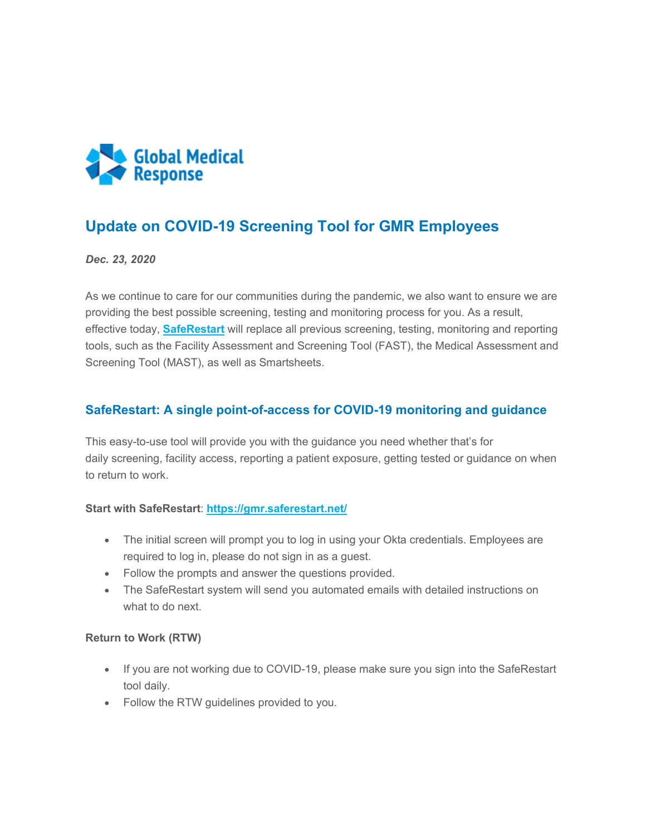

# **Update on COVID-19 Screening Tool for GMR Employees**

*Dec. 23, 2020*

As we continue to care for our communities during the pandemic, we also want to ensure we are providing the best possible screening, testing and monitoring process for you. As a result, effective today, **[SafeRestart](https://staging-myportal.amr.net/CMSModules/Newsletters/CMSPages/Redirect.ashx?linkguid=7b06cdf5-61b2-42f0-ad8b-e51a6dcad1d9&email=Peggy.Norton%40gmr.net&hash=e293208d4f83632d24fb72e6963e4afb3392845653940ab58c0e51d0eeedcd89)** will replace all previous screening, testing, monitoring and reporting tools, such as the Facility Assessment and Screening Tool (FAST), the Medical Assessment and Screening Tool (MAST), as well as Smartsheets.

## **SafeRestart: A single point-of-access for COVID-19 monitoring and guidance**

This easy-to-use tool will provide you with the guidance you need whether that's for daily screening, facility access, reporting a patient exposure, getting tested or guidance on when to return to work.

### **Start with SafeRestart**: **[https://gmr.saferestart.net/](https://staging-myportal.amr.net/CMSModules/Newsletters/CMSPages/Redirect.ashx?linkguid=7b06cdf5-61b2-42f0-ad8b-e51a6dcad1d9&email=Peggy.Norton%40gmr.net&hash=e293208d4f83632d24fb72e6963e4afb3392845653940ab58c0e51d0eeedcd89)**

- The initial screen will prompt you to log in using your Okta credentials. Employees are required to log in, please do not sign in as a guest.
- Follow the prompts and answer the questions provided.
- The SafeRestart system will send you automated emails with detailed instructions on what to do next.

#### **Return to Work (RTW)**

- If you are not working due to COVID-19, please make sure you sign into the SafeRestart tool daily.
- Follow the RTW guidelines provided to you.